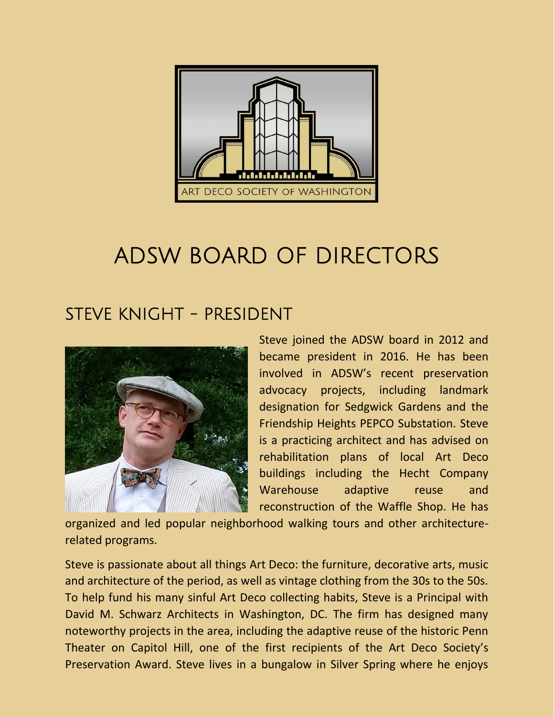

# ADSW BOARD OF DIRECTORS

# STEVE KNIGHT - PRESIDENT



Steve joined the ADSW board in 2012 and became president in 2016. He has been involved in ADSW's recent preservation advocacy projects, including landmark designation for Sedgwick Gardens and the Friendship Heights PEPCO Substation. Steve is a practicing architect and has advised on rehabilitation plans of local Art Deco buildings including the Hecht Company Warehouse adaptive reuse and reconstruction of the Waffle Shop. He has

organized and led popular neighborhood walking tours and other architecturerelated programs.

Steve is passionate about all things Art Deco: the furniture, decorative arts, music and architecture of the period, as well as vintage clothing from the 30s to the 50s. To help fund his many sinful Art Deco collecting habits, Steve is a Principal with David M. Schwarz Architects in Washington, DC. The firm has designed many noteworthy projects in the area, including the adaptive reuse of the historic Penn Theater on Capitol Hill, one of the first recipients of the Art Deco Society's Preservation Award. Steve lives in a bungalow in Silver Spring where he enjoys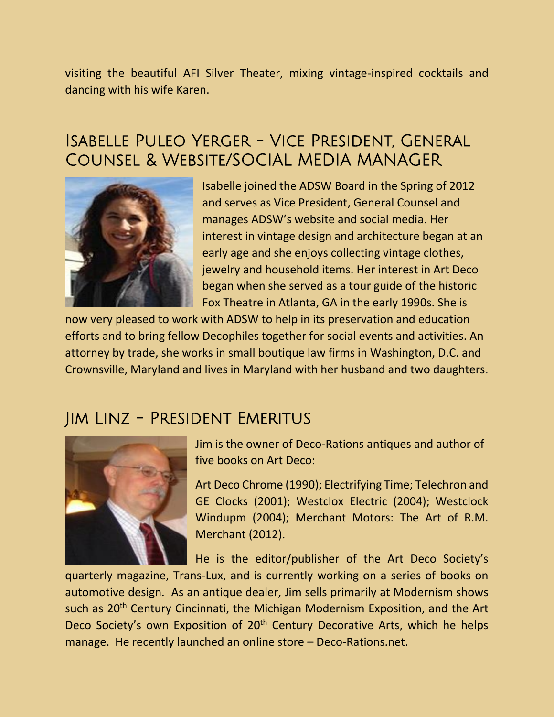visiting the beautiful AFI Silver Theater, mixing vintage-inspired cocktails and dancing with his wife Karen.

### Isabelle Puleo Yerger - Vice President, General Counsel & Website/SOCIAL MEDIA MANAGER



Isabelle joined the ADSW Board in the Spring of 2012 and serves as Vice President, General Counsel and manages ADSW's website and social media. Her interest in vintage design and architecture began at an early age and she enjoys collecting vintage clothes, jewelry and household items. Her interest in Art Deco began when she served as a tour guide of the historic Fox Theatre in Atlanta, GA in the early 1990s. She is

now very pleased to work with ADSW to help in its preservation and education efforts and to bring fellow Decophiles together for social events and activities. An attorney by trade, she works in small boutique law firms in Washington, D.C. and Crownsville, Maryland and lives in Maryland with her husband and two daughters.

#### Jim Linz - President Emeritus



Jim is the owner of Deco-Rations antiques and author of five books on Art Deco:

Art Deco Chrome (1990); Electrifying Time; Telechron and GE Clocks (2001); Westclox Electric (2004); Westclock Windupm (2004); Merchant Motors: The Art of R.M. Merchant (2012).

He is the editor/publisher of the Art Deco Society's

quarterly magazine, Trans-Lux, and is currently working on a series of books on automotive design. As an antique dealer, Jim sells primarily at Modernism shows such as 20<sup>th</sup> Century Cincinnati, the Michigan Modernism Exposition, and the Art Deco Society's own Exposition of 20<sup>th</sup> Century Decorative Arts, which he helps manage. He recently launched an online store – Deco-Rations.net.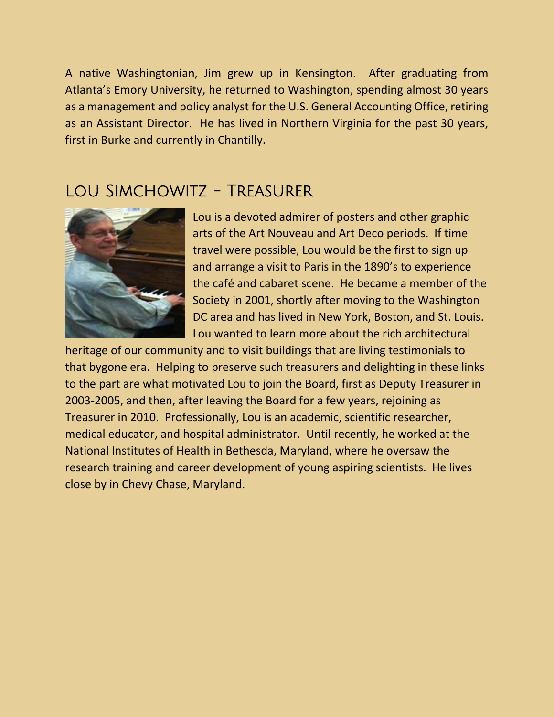A native Washingtonian, Jim grew up in Kensington. After graduating from Atlanta's Emory University, he returned to Washington, spending almost 30 years as a management and policy analyst for the U.S. General Accounting Office, retiring as an Assistant Director. He has lived in Northern Virginia for the past 30 years, first in Burke and currently in Chantilly.

#### LOU SIMCHOWITZ - TREASURER



Lou is a devoted admirer of posters and other graphic arts of the Art Nouveau and Art Deco periods. If time travel were possible, Lou would be the first to sign up and arrange a visit to Paris in the 1890's to experience the café and cabaret scene. He became a member of the Society in 2001, shortly after moving to the Washington DC area and has lived in New York, Boston, and St. Louis. Lou wanted to learn more about the rich architectural

heritage of our community and to visit buildings that are living testimonials to that bygone era. Helping to preserve such treasurers and delighting in these links to the part are what motivated Lou to join the Board, first as Deputy Treasurer in 2003-2005, and then, after leaving the Board for a few years, rejoining as Treasurer in 2010. Professionally, Lou is an academic, scientific researcher, medical educator, and hospital administrator. Until recently, he worked at the National Institutes of Health in Bethesda, Maryland, where he oversaw the research training and career development of young aspiring scientists. He lives close by in Chevy Chase, Maryland.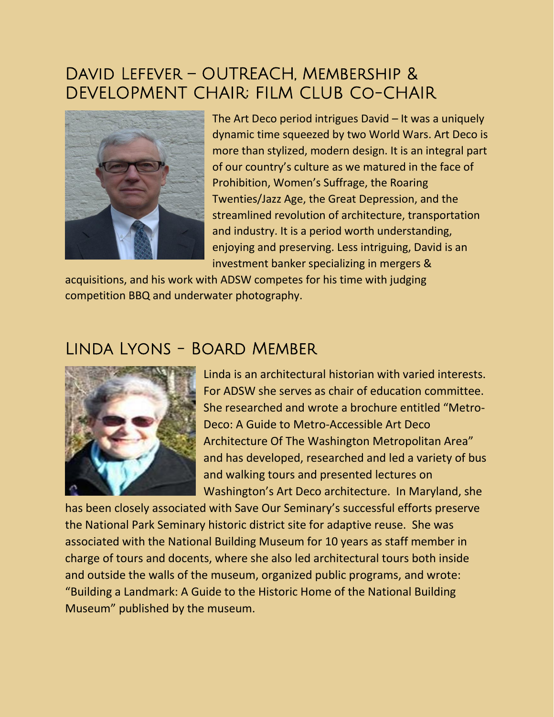## David Lefever – OUTREACH, Membership & DEVELOPMENT CHAIR; FILM CLUB Co-CHAIR



The Art Deco period intrigues David – It was a uniquely dynamic time squeezed by two World Wars. Art Deco is more than stylized, modern design. It is an integral part of our country's culture as we matured in the face of Prohibition, Women's Suffrage, the Roaring Twenties/Jazz Age, the Great Depression, and the streamlined revolution of architecture, transportation and industry. It is a period worth understanding, enjoying and preserving. Less intriguing, David is an investment banker specializing in mergers &

acquisitions, and his work with ADSW competes for his time with judging competition BBQ and underwater photography.

#### Linda Lyons - Board Member



Linda is an architectural historian with varied interests. For ADSW she serves as chair of education committee. She researched and wrote a brochure entitled "Metro-Deco: A Guide to Metro-Accessible Art Deco Architecture Of The Washington Metropolitan Area" and has developed, researched and led a variety of bus and walking tours and presented lectures on Washington's Art Deco architecture. In Maryland, she

has been closely associated with Save Our Seminary's successful efforts preserve the National Park Seminary historic district site for adaptive reuse. She was associated with the National Building Museum for 10 years as staff member in charge of tours and docents, where she also led architectural tours both inside and outside the walls of the museum, organized public programs, and wrote: "Building a Landmark: A Guide to the Historic Home of the National Building Museum" published by the museum.